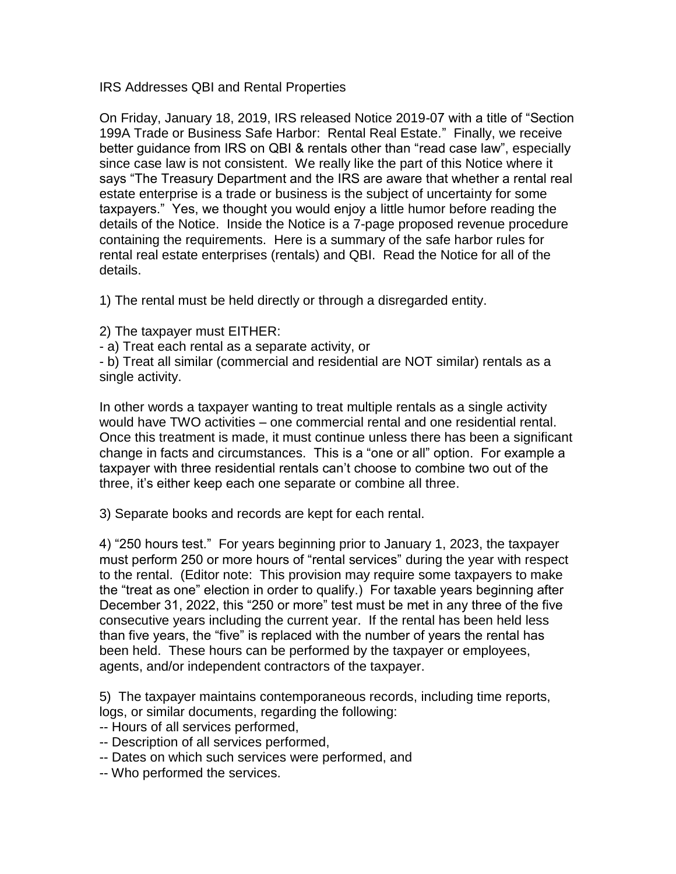IRS Addresses QBI and Rental Properties

On Friday, January 18, 2019, IRS released Notice 2019-07 with a title of "Section 199A Trade or Business Safe Harbor: Rental Real Estate." Finally, we receive better guidance from IRS on QBI & rentals other than "read case law", especially since case law is not consistent. We really like the part of this Notice where it says "The Treasury Department and the IRS are aware that whether a rental real estate enterprise is a trade or business is the subject of uncertainty for some taxpayers." Yes, we thought you would enjoy a little humor before reading the details of the Notice. Inside the Notice is a 7-page proposed revenue procedure containing the requirements. Here is a summary of the safe harbor rules for rental real estate enterprises (rentals) and QBI. Read the Notice for all of the details.

1) The rental must be held directly or through a disregarded entity.

2) The taxpayer must EITHER:

- a) Treat each rental as a separate activity, or

- b) Treat all similar (commercial and residential are NOT similar) rentals as a single activity.

In other words a taxpayer wanting to treat multiple rentals as a single activity would have TWO activities – one commercial rental and one residential rental. Once this treatment is made, it must continue unless there has been a significant change in facts and circumstances. This is a "one or all" option. For example a taxpayer with three residential rentals can't choose to combine two out of the three, it's either keep each one separate or combine all three.

3) Separate books and records are kept for each rental.

4) "250 hours test." For years beginning prior to January 1, 2023, the taxpayer must perform 250 or more hours of "rental services" during the year with respect to the rental. (Editor note: This provision may require some taxpayers to make the "treat as one" election in order to qualify.) For taxable years beginning after December 31, 2022, this "250 or more" test must be met in any three of the five consecutive years including the current year. If the rental has been held less than five years, the "five" is replaced with the number of years the rental has been held. These hours can be performed by the taxpayer or employees, agents, and/or independent contractors of the taxpayer.

5) The taxpayer maintains contemporaneous records, including time reports, logs, or similar documents, regarding the following:

-- Hours of all services performed,

- -- Description of all services performed,
- -- Dates on which such services were performed, and
- -- Who performed the services.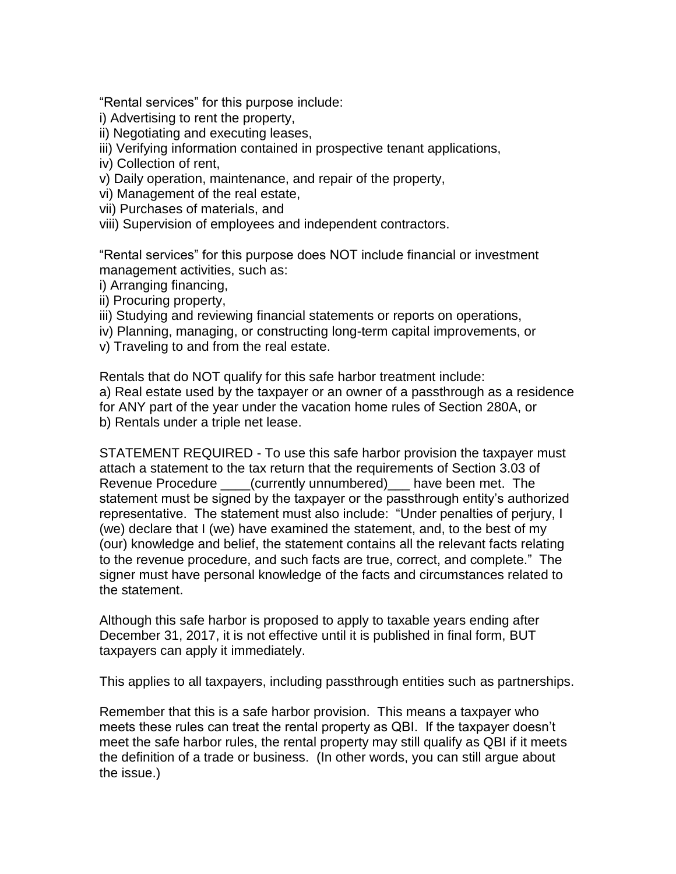"Rental services" for this purpose include:

- i) Advertising to rent the property,
- ii) Negotiating and executing leases,
- iii) Verifying information contained in prospective tenant applications,
- iv) Collection of rent,
- v) Daily operation, maintenance, and repair of the property,
- vi) Management of the real estate,
- vii) Purchases of materials, and
- viii) Supervision of employees and independent contractors.

"Rental services" for this purpose does NOT include financial or investment management activities, such as:

i) Arranging financing,

- ii) Procuring property,
- iii) Studying and reviewing financial statements or reports on operations,
- iv) Planning, managing, or constructing long-term capital improvements, or
- v) Traveling to and from the real estate.

Rentals that do NOT qualify for this safe harbor treatment include:

a) Real estate used by the taxpayer or an owner of a passthrough as a residence for ANY part of the year under the vacation home rules of Section 280A, or b) Rentals under a triple net lease.

STATEMENT REQUIRED - To use this safe harbor provision the taxpayer must attach a statement to the tax return that the requirements of Section 3.03 of Revenue Procedure \_\_\_\_(currently unnumbered)\_\_\_ have been met. The statement must be signed by the taxpayer or the passthrough entity's authorized representative. The statement must also include: "Under penalties of perjury, I (we) declare that I (we) have examined the statement, and, to the best of my (our) knowledge and belief, the statement contains all the relevant facts relating to the revenue procedure, and such facts are true, correct, and complete." The signer must have personal knowledge of the facts and circumstances related to the statement.

Although this safe harbor is proposed to apply to taxable years ending after December 31, 2017, it is not effective until it is published in final form, BUT taxpayers can apply it immediately.

This applies to all taxpayers, including passthrough entities such as partnerships.

Remember that this is a safe harbor provision. This means a taxpayer who meets these rules can treat the rental property as QBI. If the taxpayer doesn't meet the safe harbor rules, the rental property may still qualify as QBI if it meets the definition of a trade or business. (In other words, you can still argue about the issue.)